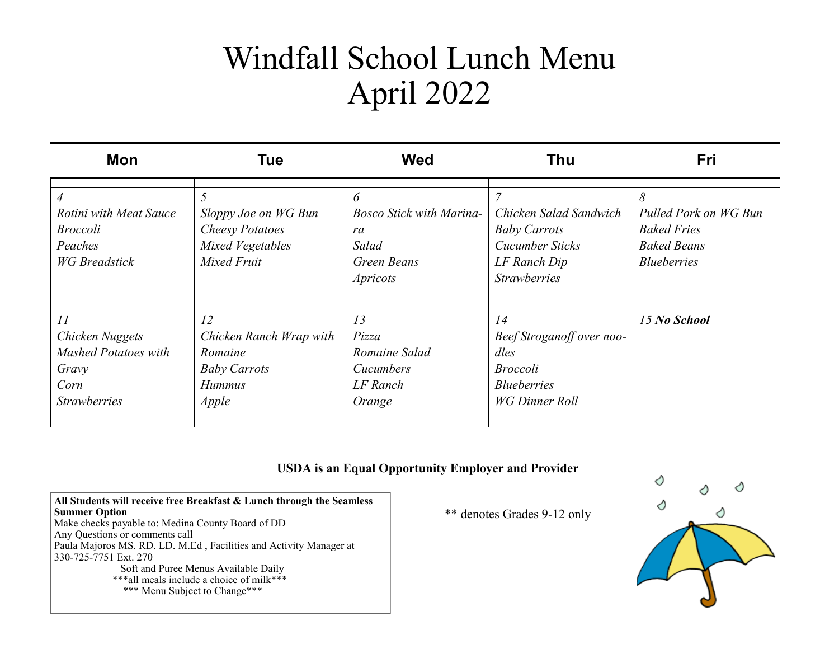### Windfall School Lunch Menu April 2022

| Mon                                                                                          | Tue                                                                                       | <b>Wed</b>                                                                            | <b>Thu</b>                                                                                              | <b>Fri</b>                                                                                   |
|----------------------------------------------------------------------------------------------|-------------------------------------------------------------------------------------------|---------------------------------------------------------------------------------------|---------------------------------------------------------------------------------------------------------|----------------------------------------------------------------------------------------------|
| Rotini with Meat Sauce<br><b>Broccoli</b><br>Peaches<br><b>WG</b> Breadstick                 | 5<br>Sloppy Joe on WG Bun<br><b>Cheesy Potatoes</b><br>Mixed Vegetables<br>Mixed Fruit    | 6<br><b>Bosco Stick with Marina-</b><br>ra<br>Salad<br>Green Beans<br><b>Apricots</b> | Chicken Salad Sandwich<br><b>Baby Carrots</b><br>Cucumber Sticks<br>LF Ranch Dip<br><b>Strawberries</b> | 8<br>Pulled Pork on WG Bun<br><b>Baked Fries</b><br><b>Baked Beans</b><br><b>Blueberries</b> |
| 11<br>Chicken Nuggets<br><b>Mashed Potatoes with</b><br>Gravy<br>Corn<br><b>Strawberries</b> | 12<br>Chicken Ranch Wrap with<br>Romaine<br><b>Baby Carrots</b><br><b>Hummus</b><br>Apple | 13<br>Pizza<br>Romaine Salad<br>Cucumbers<br>LF Ranch<br>Orange                       | 14<br>Beef Stroganoff over noo-<br>dles<br><b>Broccoli</b><br><b>Blueberries</b><br>WG Dinner Roll      | 15 No School                                                                                 |

#### **USDA is an Equal Opportunity Employer and Provider**

**All Students will receive free Breakfast & Lunch through the Seamless Summer Option**  Make checks payable to: Medina County Board of DD Any Questions or comments call Paula Majoros MS. RD. LD. M.Ed , Facilities and Activity Manager at 330-725-7751 Ext. 270 Soft and Puree Menus Available Daily \*\*\*all meals include a choice of milk\*\*\* \*\*\* Menu Subject to Change\*\*\*

\*\* denotes Grades 9-12 only

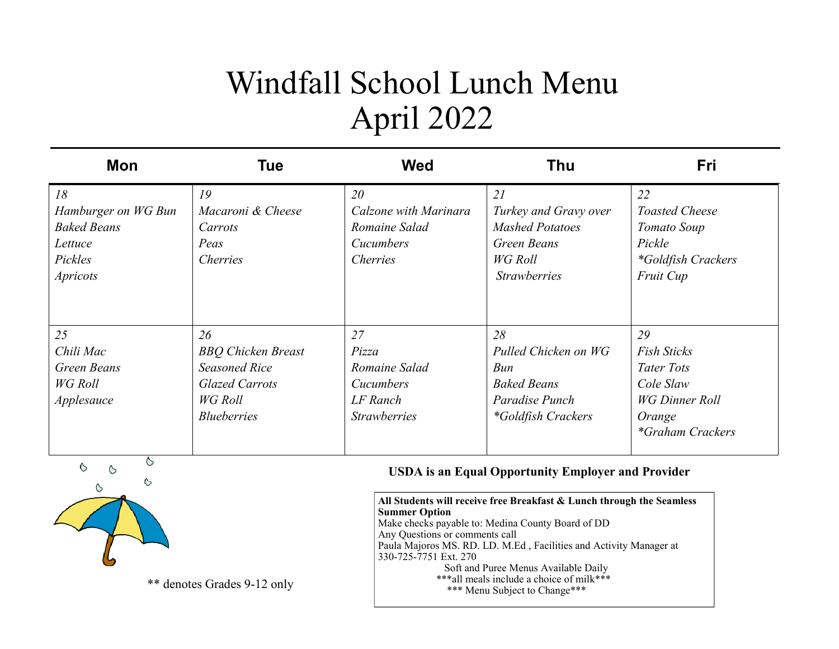## Windfall School Lunch Menu April 2022

| Mon                                                                                      | <b>Tue</b>                                                                                                        | <b>Wed</b>                                                                   | <b>Thu</b>                                                                                             | <b>Fri</b>                                                                                                        |
|------------------------------------------------------------------------------------------|-------------------------------------------------------------------------------------------------------------------|------------------------------------------------------------------------------|--------------------------------------------------------------------------------------------------------|-------------------------------------------------------------------------------------------------------------------|
| 18<br>Hamburger on WG Bun<br><b>Baked Beans</b><br>Lettuce<br>Pickles<br><b>Apricots</b> | 19<br>Macaroni & Cheese<br>Carrots<br>Peas<br><i>Cherries</i>                                                     | 20<br>Calzone with Marinara<br>Romaine Salad<br>Cucumbers<br><i>Cherries</i> | 21<br>Turkey and Gravy over<br><b>Mashed Potatoes</b><br>Green Beans<br>WG Roll<br><b>Strawberries</b> | 22<br><b>Toasted Cheese</b><br>Tomato Soup<br>Pickle<br>*Goldfish Crackers<br><b>Fruit Cup</b>                    |
| 25<br>Chili Mac<br>Green Beans<br>WG Roll<br>Applesauce                                  | 26<br><b>BBQ Chicken Breast</b><br><b>Seasoned Rice</b><br><b>Glazed Carrots</b><br>WG Roll<br><b>Blueberries</b> | 27<br>Pizza<br>Romaine Salad<br>Cucumbers<br>LF Ranch<br><b>Strawberries</b> | 28<br>Pulled Chicken on WG<br>Bun<br><b>Baked Beans</b><br>Paradise Punch<br>*Goldfish Crackers        | 29<br><b>Fish Sticks</b><br>Tater Tots<br>Cole Slaw<br><b>WG Dinner Roll</b><br>Orange<br><i>*Graham Crackers</i> |

♦  $\circ$  $\circ$ ♦ ♦

**USDA is an Equal Opportunity Employer and Provider** 

**All Students will receive free Breakfast & Lunch through the Seamless Summer Option**  Make checks payable to: Medina County Board of DD Any Questions or comments call Paula Majoros MS. RD. LD. M.Ed , Facilities and Activity Manager at 330-725-7751 Ext. 270 Soft and Puree Menus Available Daily \*\*\*all meals include a choice of milk\*\*\* \*\*\* Menu Subject to Change\*\*\*

\*\* denotes Grades 9-12 only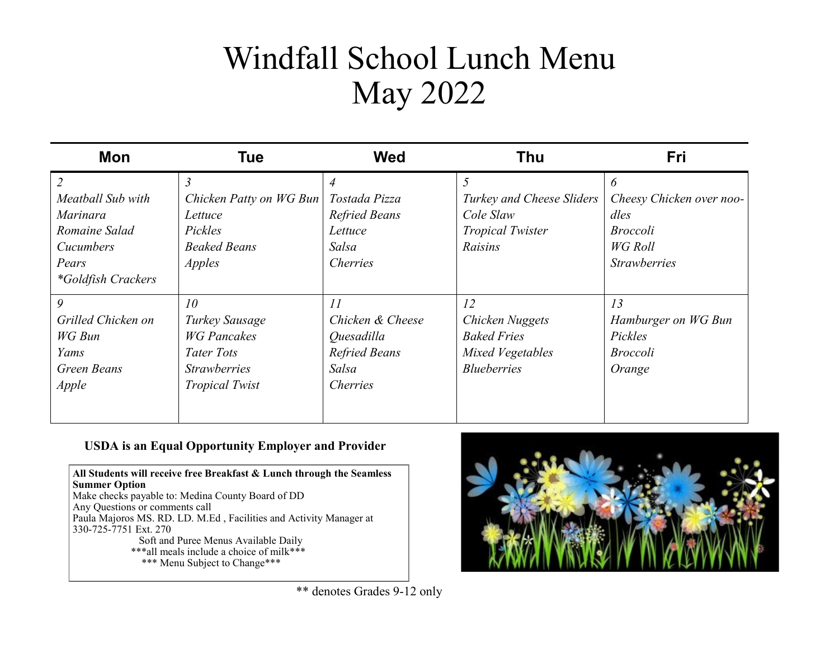## Windfall School Lunch Menu May 2022

| <b>Mon</b>         | Tue                     | <b>Wed</b>               | <b>Thu</b>                | <b>Fri</b>               |
|--------------------|-------------------------|--------------------------|---------------------------|--------------------------|
| $\overline{2}$     | $\mathfrak{Z}$          | 4                        | 5                         | 6                        |
| Meatball Sub with  | Chicken Patty on WG Bun | Tostada Pizza            | Turkey and Cheese Sliders | Cheesy Chicken over noo- |
| <i>Marinara</i>    | Lettuce                 | <b>Refried Beans</b>     | Cole Slaw                 | dles                     |
| Romaine Salad      | Pickles                 | Lettuce                  | <b>Tropical Twister</b>   | <i>Broccoli</i>          |
| Cucumbers          | <b>Beaked Beans</b>     | Salsa                    | Raisins                   | WG Roll                  |
| Pears              | Apples                  | <i>Cherries</i>          |                           | <b>Strawberries</b>      |
| *Goldfish Crackers |                         |                          |                           |                          |
| 9                  | 10 <sup>2</sup>         | 11                       | 12                        | 13                       |
| Grilled Chicken on | Turkey Sausage          | Chicken & Cheese         | Chicken Nuggets           | Hamburger on WG Bun      |
| WG Bun             | <b>WG</b> Pancakes      | <i><b>Ouesadilla</b></i> | <b>Baked Fries</b>        | Pickles                  |
| Yams               | Tater Tots              | <b>Refried Beans</b>     | Mixed Vegetables          | <b>Broccoli</b>          |
| Green Beans        | <b>Strawberries</b>     | Salsa                    | <b>Blueberries</b>        | Orange                   |
| Apple              | <b>Tropical Twist</b>   | <i>Cherries</i>          |                           |                          |
|                    |                         |                          |                           |                          |
|                    |                         |                          |                           |                          |

#### **USDA is an Equal Opportunity Employer and Provider**

**All Students will receive free Breakfast & Lunch through the Seamless Summer Option**  Make checks payable to: Medina County Board of DD Any Questions or comments call Paula Majoros MS. RD. LD. M.Ed , Facilities and Activity Manager at 330-725-7751 Ext. 270 Soft and Puree Menus Available Daily \*\*\*all meals include a choice of milk\*\*\*

\*\*\* Menu Subject to Change\*\*\*



\*\* denotes Grades 9-12 only